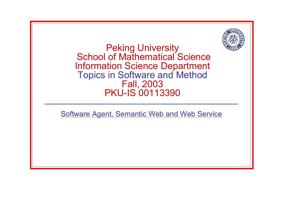

Peking University School of Mathematical Science Information Science Department Topics in Software and Method Fall, 2003 PKU-IS 00113390

Software Agent, Semantic Web and Web Service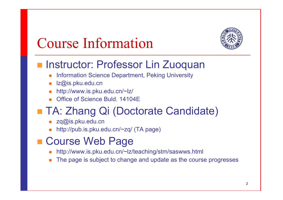

## Course Information

#### **Instructor: Professor Lin Zuoquan**

- Information Science Department, Peking University
- lz@is.pku.edu.cn
- http://www.is.pku.edu.cn/~lz/
- Office of Science Buld. 14104E

#### ■ TA: Zhang Qi (Doctorate Candidate)

- zq@is.pku.edu.cn
- L. http://pub.is.pku.edu.cn/~zq/ (TA page)

#### ■ Course Web Page

- http://www.is.pku.edu.cn/~lz/teaching/stm/saswws.html
- × The page is subject to change and update as the course progresses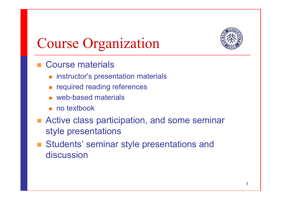

# Course Organization

- Course materials
	- instructor's presentation materials
	- П required reading references
	- web-based materials
	- no textbook
- Active class participation, and some seminar style presentations
- Students' seminar style presentations and discussion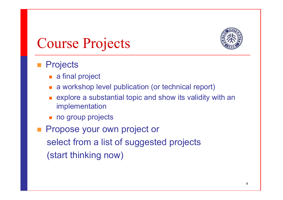

# Course Projects

#### **Projects**

- a final project
- П a workshop level publication (or technical report)
- $\blacksquare$  explore a substantial topic and show its validity with an implementation
- no group projects
- Propose your own project or select from a list of suggested projects (start thinking now)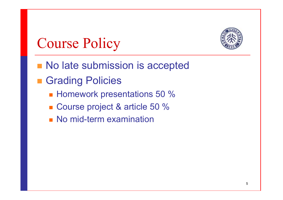

## Course Policy

- No late submission is accepted
- **E** Grading Policies
	- Homework presentations 50 %
	- Course project & article 50 %
	- **No mid-term examination**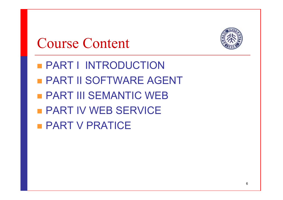

## Course Content

- **PART I INTRODUCTION**  PART II SOFTWARE AGENT PART III SEMANTIC WEB
- **PART IV WEB SERVICE**
- **PART V PRATICE**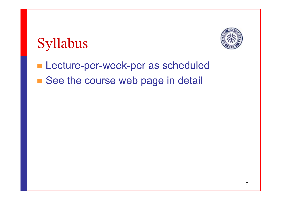



**Lecture-per-week-per as scheduled** ■ See the course web page in detail